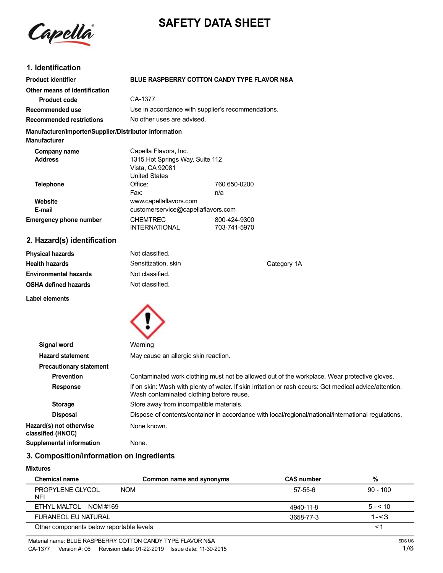



## **1. Identification**

| <b>Product identifier</b>                                                     | BLUE RASPBERRY COTTON CANDY TYPE FLAVOR N&A                                |                              |             |
|-------------------------------------------------------------------------------|----------------------------------------------------------------------------|------------------------------|-------------|
| Other means of identification                                                 |                                                                            |                              |             |
| <b>Product code</b>                                                           | CA-1377                                                                    |                              |             |
| Recommended use                                                               | Use in accordance with supplier's recommendations.                         |                              |             |
| <b>Recommended restrictions</b>                                               | No other uses are advised.                                                 |                              |             |
| Manufacturer/Importer/Supplier/Distributor information<br><b>Manufacturer</b> |                                                                            |                              |             |
| Company name                                                                  | Capella Flavors, Inc.                                                      |                              |             |
| <b>Address</b>                                                                | 1315 Hot Springs Way, Suite 112<br>Vista, CA 92081<br><b>United States</b> |                              |             |
| <b>Telephone</b>                                                              | Office:                                                                    | 760 650-0200                 |             |
|                                                                               | Fax:                                                                       | n/a                          |             |
| Website                                                                       | www.capellaflavors.com                                                     |                              |             |
| E-mail                                                                        | customerservice@capellaflavors.com                                         |                              |             |
| <b>Emergency phone number</b>                                                 | <b>CHEMTREC</b><br>INTERNATIONAL                                           | 800-424-9300<br>703-741-5970 |             |
| 2. Hazard(s) identification                                                   |                                                                            |                              |             |
| <b>Physical hazards</b>                                                       | Not classified.                                                            |                              |             |
| <b>Health hazards</b>                                                         | Sensitization, skin                                                        |                              | Category 1A |
| <b>Environmental hazards</b>                                                  | Not classified.                                                            |                              |             |
| <b>OSHA defined hazards</b>                                                   | Not classified.                                                            |                              |             |
| Label elements                                                                |                                                                            |                              |             |



| Signal word                                  | Warning                                                                                                                                             |
|----------------------------------------------|-----------------------------------------------------------------------------------------------------------------------------------------------------|
| <b>Hazard statement</b>                      | May cause an allergic skin reaction.                                                                                                                |
| <b>Precautionary statement</b>               |                                                                                                                                                     |
| <b>Prevention</b>                            | Contaminated work clothing must not be allowed out of the workplace. Wear protective gloves.                                                        |
| <b>Response</b>                              | If on skin: Wash with plenty of water. If skin irritation or rash occurs: Get medical advice/attention.<br>Wash contaminated clothing before reuse. |
| <b>Storage</b>                               | Store away from incompatible materials.                                                                                                             |
| <b>Disposal</b>                              | Dispose of contents/container in accordance with local/regional/national/international regulations.                                                 |
| Hazard(s) not otherwise<br>classified (HNOC) | None known.                                                                                                                                         |
| <b>Supplemental information</b>              | None.                                                                                                                                               |
|                                              |                                                                                                                                                     |

# **3. Composition/information on ingredients**

#### **Mixtures**

| <b>Chemical name</b>                         | Common name and synonyms | <b>CAS number</b> | %          |
|----------------------------------------------|--------------------------|-------------------|------------|
| PROPYLENE GLYCOL<br><b>NOM</b><br><b>NFI</b> |                          | 57-55-6           | $90 - 100$ |
| ETHYL MALTOL NOM #169                        |                          | 4940-11-8         | $5 - 510$  |
| <b>FURANEOL EU NATURAL</b>                   |                          | 3658-77-3         | $1 - 3$    |
| Other components below reportable levels     |                          |                   | < .        |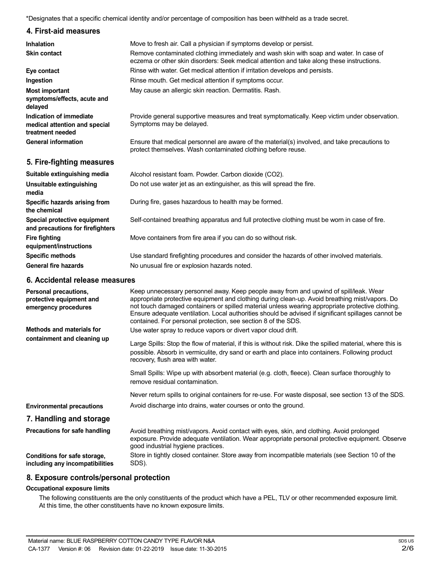\*Designates that a specific chemical identity and/or percentage of composition has been withheld as a trade secret.

## **4. First-aid measures**

| <b>Inhalation</b>                                                            | Move to fresh air. Call a physician if symptoms develop or persist.                                                                                                                 |
|------------------------------------------------------------------------------|-------------------------------------------------------------------------------------------------------------------------------------------------------------------------------------|
| <b>Skin contact</b>                                                          | Remove contaminated clothing immediately and wash skin with soap and water. In case of<br>eczema or other skin disorders: Seek medical attention and take along these instructions. |
| Eye contact                                                                  | Rinse with water. Get medical attention if irritation develops and persists.                                                                                                        |
| Ingestion                                                                    | Rinse mouth. Get medical attention if symptoms occur.                                                                                                                               |
| Most important<br>symptoms/effects, acute and<br>delayed                     | May cause an allergic skin reaction. Dermatitis. Rash.                                                                                                                              |
| Indication of immediate<br>medical attention and special<br>treatment needed | Provide general supportive measures and treat symptomatically. Keep victim under observation.<br>Symptoms may be delayed.                                                           |
| <b>General information</b>                                                   | Ensure that medical personnel are aware of the material(s) involved, and take precautions to<br>protect themselves. Wash contaminated clothing before reuse.                        |
| 5. Fire-fighting measures                                                    |                                                                                                                                                                                     |
| Suitable extinguishing media                                                 | Alcohol resistant foam. Powder. Carbon dioxide (CO2).                                                                                                                               |
| Unsuitable extinguishing<br>media                                            | Do not use water jet as an extinguisher, as this will spread the fire.                                                                                                              |
| Specific hazards arising from<br>the chemical                                | During fire, gases hazardous to health may be formed.                                                                                                                               |
| Special protective equipment                                                 | Self-contained breathing apparatus and full protective clothing must be worn in case of fire.                                                                                       |

Move containers from fire area if you can do so without risk.

Use standard firefighting procedures and consider the hazards of other involved materials. No unusual fire or explosion hazards noted.

## **6. Accidental release measures**

**and precautions for firefighters**

**equipment/instructions Specific methods General fire hazards**

**Fire fighting**

| Personal precautions,<br>protective equipment and<br>emergency procedures | Keep unnecessary personnel away. Keep people away from and upwind of spill/leak. Wear<br>appropriate protective equipment and clothing during clean-up. Avoid breathing mist/vapors. Do<br>not touch damaged containers or spilled material unless wearing appropriate protective clothing.<br>Ensure adequate ventilation. Local authorities should be advised if significant spillages cannot be<br>contained. For personal protection, see section 8 of the SDS. |
|---------------------------------------------------------------------------|---------------------------------------------------------------------------------------------------------------------------------------------------------------------------------------------------------------------------------------------------------------------------------------------------------------------------------------------------------------------------------------------------------------------------------------------------------------------|
| Methods and materials for                                                 | Use water spray to reduce vapors or divert vapor cloud drift.                                                                                                                                                                                                                                                                                                                                                                                                       |
| containment and cleaning up                                               | Large Spills: Stop the flow of material, if this is without risk. Dike the spilled material, where this is<br>possible. Absorb in vermiculite, dry sand or earth and place into containers. Following product<br>recovery, flush area with water.                                                                                                                                                                                                                   |
|                                                                           | Small Spills: Wipe up with absorbent material (e.g. cloth, fleece). Clean surface thoroughly to<br>remove residual contamination.                                                                                                                                                                                                                                                                                                                                   |
|                                                                           | Never return spills to original containers for re-use. For waste disposal, see section 13 of the SDS.                                                                                                                                                                                                                                                                                                                                                               |
| <b>Environmental precautions</b>                                          | Avoid discharge into drains, water courses or onto the ground.                                                                                                                                                                                                                                                                                                                                                                                                      |
| 7. Handling and storage                                                   |                                                                                                                                                                                                                                                                                                                                                                                                                                                                     |
| Precautions for safe handling                                             | Avoid breathing mist/vapors. Avoid contact with eyes, skin, and clothing. Avoid prolonged<br>exposure. Provide adequate ventilation. Wear appropriate personal protective equipment. Observe<br>good industrial hygiene practices.                                                                                                                                                                                                                                  |
| Conditions for safe storage,<br>including any incompatibilities           | Store in tightly closed container. Store away from incompatible materials (see Section 10 of the<br>SDS).                                                                                                                                                                                                                                                                                                                                                           |

### **8. Exposure controls/personal protection**

### **Occupational exposure limits**

The following constituents are the only constituents of the product which have a PEL, TLV or other recommended exposure limit. At this time, the other constituents have no known exposure limits.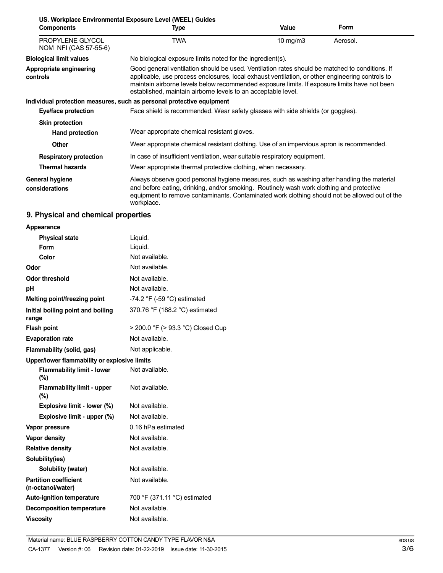| US. Workplace Environmental Exposure Level (WEEL) Guides<br><b>Form</b> |                                                                                                                                                                                                                                                                                                                                                                    |                   |          |  |
|-------------------------------------------------------------------------|--------------------------------------------------------------------------------------------------------------------------------------------------------------------------------------------------------------------------------------------------------------------------------------------------------------------------------------------------------------------|-------------------|----------|--|
| <b>Components</b>                                                       | Type                                                                                                                                                                                                                                                                                                                                                               | Value             |          |  |
| PROPYLENE GLYCOL<br>NOM NFI (CAS 57-55-6)                               | TWA                                                                                                                                                                                                                                                                                                                                                                | $10 \text{ mg/m}$ | Aerosol. |  |
| <b>Biological limit values</b>                                          | No biological exposure limits noted for the ingredient(s).                                                                                                                                                                                                                                                                                                         |                   |          |  |
| Appropriate engineering<br>controls                                     | Good general ventilation should be used. Ventilation rates should be matched to conditions. If<br>applicable, use process enclosures, local exhaust ventilation, or other engineering controls to<br>maintain airborne levels below recommended exposure limits. If exposure limits have not been<br>established, maintain airborne levels to an acceptable level. |                   |          |  |
|                                                                         | Individual protection measures, such as personal protective equipment                                                                                                                                                                                                                                                                                              |                   |          |  |
| Eye/face protection                                                     | Face shield is recommended. Wear safety glasses with side shields (or goggles).                                                                                                                                                                                                                                                                                    |                   |          |  |
| <b>Skin protection</b>                                                  |                                                                                                                                                                                                                                                                                                                                                                    |                   |          |  |
| Hand protection                                                         | Wear appropriate chemical resistant gloves.                                                                                                                                                                                                                                                                                                                        |                   |          |  |
| <b>Other</b>                                                            | Wear appropriate chemical resistant clothing. Use of an impervious apron is recommended.                                                                                                                                                                                                                                                                           |                   |          |  |
| <b>Respiratory protection</b>                                           | In case of insufficient ventilation, wear suitable respiratory equipment.                                                                                                                                                                                                                                                                                          |                   |          |  |
| <b>Thermal hazards</b>                                                  | Wear appropriate thermal protective clothing, when necessary.                                                                                                                                                                                                                                                                                                      |                   |          |  |
| General hygiene<br>considerations                                       | Always observe good personal hygiene measures, such as washing after handling the material<br>and before eating, drinking, and/or smoking. Routinely wash work clothing and protective<br>equipment to remove contaminants. Contaminated work clothing should not be allowed out of the<br>workplace.                                                              |                   |          |  |

## **9. Physical and chemical properties**

| Appearance                                        |                                               |  |
|---------------------------------------------------|-----------------------------------------------|--|
| <b>Physical state</b>                             | Liquid.                                       |  |
| Form                                              | Liquid.                                       |  |
| Color                                             | Not available.                                |  |
| Odor                                              | Not available.                                |  |
| Odor threshold                                    | Not available.                                |  |
| рH                                                | Not available.                                |  |
| Melting point/freezing point                      | -74.2 $\degree$ F (-59 $\degree$ C) estimated |  |
| Initial boiling point and boiling<br>range        | 370.76 °F (188.2 °C) estimated                |  |
| <b>Flash point</b>                                | > 200.0 °F (> 93.3 °C) Closed Cup             |  |
| <b>Evaporation rate</b>                           | Not available.                                |  |
| <b>Flammability (solid, gas)</b>                  | Not applicable.                               |  |
| Upper/lower flammability or explosive limits      |                                               |  |
| <b>Flammability limit - lower</b><br>$(\%)$       | Not available.                                |  |
| <b>Flammability limit - upper</b><br>$(\%)$       | Not available.                                |  |
| Explosive limit - lower (%)                       | Not available.                                |  |
| Explosive limit - upper (%)                       | Not available.                                |  |
| Vapor pressure                                    | 0.16 hPa estimated                            |  |
| Vapor density                                     | Not available.                                |  |
| <b>Relative density</b>                           | Not available.                                |  |
| Solubility(ies)                                   |                                               |  |
| Solubility (water)                                | Not available.                                |  |
| <b>Partition coefficient</b><br>(n-octanol/water) | Not available.                                |  |
| <b>Auto-ignition temperature</b>                  | 700 °F (371.11 °C) estimated                  |  |
| <b>Decomposition temperature</b>                  | Not available.                                |  |
| <b>Viscosity</b>                                  | Not available.                                |  |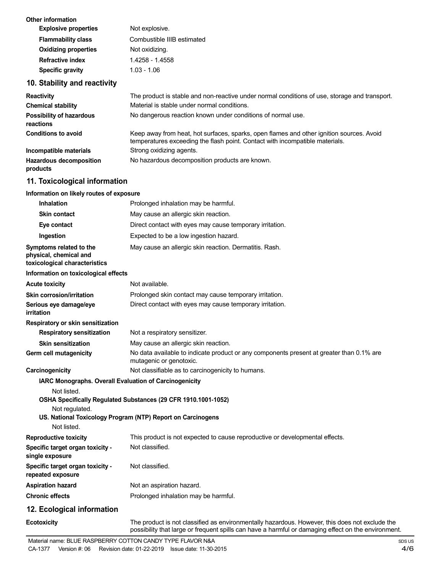| <b>Other information</b>     |                            |
|------------------------------|----------------------------|
| <b>Explosive properties</b>  | Not explosive.             |
| <b>Flammability class</b>    | Combustible IIIB estimated |
| <b>Oxidizing properties</b>  | Not oxidizing.             |
| <b>Refractive index</b>      | 1.4258 - 1.4558            |
| <b>Specific gravity</b>      | $1.03 - 1.06$              |
| 10. Stability and reactivity |                            |

| <b>Reactivity</b>                            | The product is stable and non-reactive under normal conditions of use, storage and transport.                                                                            |
|----------------------------------------------|--------------------------------------------------------------------------------------------------------------------------------------------------------------------------|
| <b>Chemical stability</b>                    | Material is stable under normal conditions.                                                                                                                              |
| <b>Possibility of hazardous</b><br>reactions | No dangerous reaction known under conditions of normal use.                                                                                                              |
| <b>Conditions to avoid</b>                   | Keep away from heat, hot surfaces, sparks, open flames and other ignition sources. Avoid<br>temperatures exceeding the flash point. Contact with incompatible materials. |
| Incompatible materials                       | Strong oxidizing agents.                                                                                                                                                 |
| <b>Hazardous decomposition</b><br>products   | No hazardous decomposition products are known.                                                                                                                           |

# **11. Toxicological information**

### **Information on likely routes of exposure**

| <b>Inhalation</b>                                                                  | Prolonged inhalation may be harmful.                                                                                                                                                                  |
|------------------------------------------------------------------------------------|-------------------------------------------------------------------------------------------------------------------------------------------------------------------------------------------------------|
| <b>Skin contact</b>                                                                | May cause an allergic skin reaction.                                                                                                                                                                  |
| Eye contact                                                                        | Direct contact with eyes may cause temporary irritation.                                                                                                                                              |
| Ingestion                                                                          | Expected to be a low ingestion hazard.                                                                                                                                                                |
| Symptoms related to the<br>physical, chemical and<br>toxicological characteristics | May cause an allergic skin reaction. Dermatitis. Rash.                                                                                                                                                |
| Information on toxicological effects                                               |                                                                                                                                                                                                       |
| <b>Acute toxicity</b>                                                              | Not available.                                                                                                                                                                                        |
| Skin corrosion/irritation                                                          | Prolonged skin contact may cause temporary irritation.                                                                                                                                                |
| Serious eye damage/eye<br>irritation                                               | Direct contact with eyes may cause temporary irritation.                                                                                                                                              |
| Respiratory or skin sensitization                                                  |                                                                                                                                                                                                       |
| <b>Respiratory sensitization</b>                                                   | Not a respiratory sensitizer.                                                                                                                                                                         |
| <b>Skin sensitization</b>                                                          | May cause an allergic skin reaction.                                                                                                                                                                  |
| Germ cell mutagenicity                                                             | No data available to indicate product or any components present at greater than 0.1% are<br>mutagenic or genotoxic.                                                                                   |
| Carcinogenicity                                                                    | Not classifiable as to carcinogenicity to humans.                                                                                                                                                     |
| IARC Monographs. Overall Evaluation of Carcinogenicity<br>Not listed.              |                                                                                                                                                                                                       |
|                                                                                    | OSHA Specifically Regulated Substances (29 CFR 1910.1001-1052)                                                                                                                                        |
| Not regulated.                                                                     |                                                                                                                                                                                                       |
| Not listed.                                                                        | US. National Toxicology Program (NTP) Report on Carcinogens                                                                                                                                           |
| <b>Reproductive toxicity</b>                                                       | This product is not expected to cause reproductive or developmental effects.                                                                                                                          |
| Specific target organ toxicity -<br>single exposure                                | Not classified.                                                                                                                                                                                       |
| Specific target organ toxicity -<br>repeated exposure                              | Not classified.                                                                                                                                                                                       |
| <b>Aspiration hazard</b>                                                           | Not an aspiration hazard.                                                                                                                                                                             |
| <b>Chronic effects</b>                                                             | Prolonged inhalation may be harmful.                                                                                                                                                                  |
| 12. Ecological information                                                         |                                                                                                                                                                                                       |
| <b>Ecotoxicity</b>                                                                 | The product is not classified as environmentally hazardous. However, this does not exclude the<br>possibility that large or frequent spills can have a harmful or damaging effect on the environment. |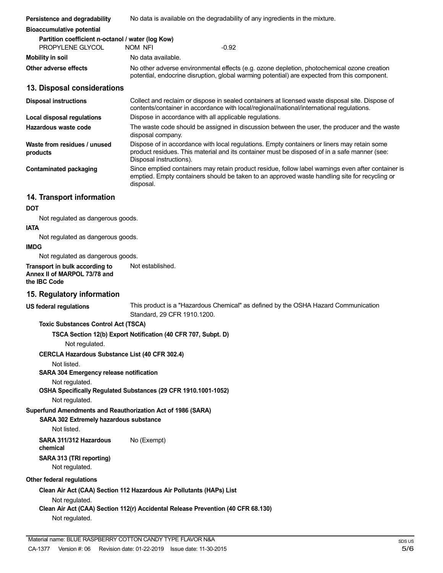| Persistence and degradability                                                                                        | No data is available on the degradability of any ingredients in the mixture.                                                                                                                                           |
|----------------------------------------------------------------------------------------------------------------------|------------------------------------------------------------------------------------------------------------------------------------------------------------------------------------------------------------------------|
| <b>Bioaccumulative potential</b>                                                                                     |                                                                                                                                                                                                                        |
| Partition coefficient n-octanol / water (log Kow)<br>PROPYLENE GLYCOL                                                | $-0.92$<br>NOM NFI                                                                                                                                                                                                     |
| <b>Mobility in soil</b>                                                                                              | No data available.                                                                                                                                                                                                     |
| Other adverse effects                                                                                                | No other adverse environmental effects (e.g. ozone depletion, photochemical ozone creation<br>potential, endocrine disruption, global warming potential) are expected from this component.                             |
| 13. Disposal considerations                                                                                          |                                                                                                                                                                                                                        |
| <b>Disposal instructions</b>                                                                                         | Collect and reclaim or dispose in sealed containers at licensed waste disposal site. Dispose of<br>contents/container in accordance with local/regional/national/international regulations.                            |
| <b>Local disposal regulations</b>                                                                                    | Dispose in accordance with all applicable regulations.                                                                                                                                                                 |
| Hazardous waste code                                                                                                 | The waste code should be assigned in discussion between the user, the producer and the waste<br>disposal company.                                                                                                      |
| Waste from residues / unused<br>products                                                                             | Dispose of in accordance with local regulations. Empty containers or liners may retain some<br>product residues. This material and its container must be disposed of in a safe manner (see:<br>Disposal instructions). |
| <b>Contaminated packaging</b>                                                                                        | Since emptied containers may retain product residue, follow label warnings even after container is<br>emptied. Empty containers should be taken to an approved waste handling site for recycling or<br>disposal.       |
| 14. Transport information                                                                                            |                                                                                                                                                                                                                        |
| <b>DOT</b>                                                                                                           |                                                                                                                                                                                                                        |
| Not regulated as dangerous goods.                                                                                    |                                                                                                                                                                                                                        |
| <b>IATA</b>                                                                                                          |                                                                                                                                                                                                                        |
| Not regulated as dangerous goods.<br><b>IMDG</b>                                                                     |                                                                                                                                                                                                                        |
| Not regulated as dangerous goods.                                                                                    |                                                                                                                                                                                                                        |
| Transport in bulk according to<br>Annex II of MARPOL 73/78 and<br>the IBC Code                                       | Not established.                                                                                                                                                                                                       |
| 15. Regulatory information                                                                                           |                                                                                                                                                                                                                        |
| <b>US federal regulations</b>                                                                                        | This product is a "Hazardous Chemical" as defined by the OSHA Hazard Communication<br>Standard, 29 CFR 1910.1200.                                                                                                      |
| <b>Toxic Substances Control Act (TSCA)</b>                                                                           |                                                                                                                                                                                                                        |
| Not regulated.                                                                                                       | TSCA Section 12(b) Export Notification (40 CFR 707, Subpt. D)                                                                                                                                                          |
| <b>CERCLA Hazardous Substance List (40 CFR 302.4)</b>                                                                |                                                                                                                                                                                                                        |
| Not listed.<br>SARA 304 Emergency release notification                                                               |                                                                                                                                                                                                                        |
| Not regulated.                                                                                                       | OSHA Specifically Regulated Substances (29 CFR 1910.1001-1052)                                                                                                                                                         |
| Not regulated.                                                                                                       |                                                                                                                                                                                                                        |
| Superfund Amendments and Reauthorization Act of 1986 (SARA)<br>SARA 302 Extremely hazardous substance<br>Not listed. |                                                                                                                                                                                                                        |
| SARA 311/312 Hazardous<br>chemical                                                                                   | No (Exempt)                                                                                                                                                                                                            |
| SARA 313 (TRI reporting)<br>Not regulated.                                                                           |                                                                                                                                                                                                                        |
| Other federal regulations                                                                                            |                                                                                                                                                                                                                        |
|                                                                                                                      | Clean Air Act (CAA) Section 112 Hazardous Air Pollutants (HAPs) List                                                                                                                                                   |
| Not regulated.<br>Not regulated.                                                                                     | Clean Air Act (CAA) Section 112(r) Accidental Release Prevention (40 CFR 68.130)                                                                                                                                       |
|                                                                                                                      |                                                                                                                                                                                                                        |